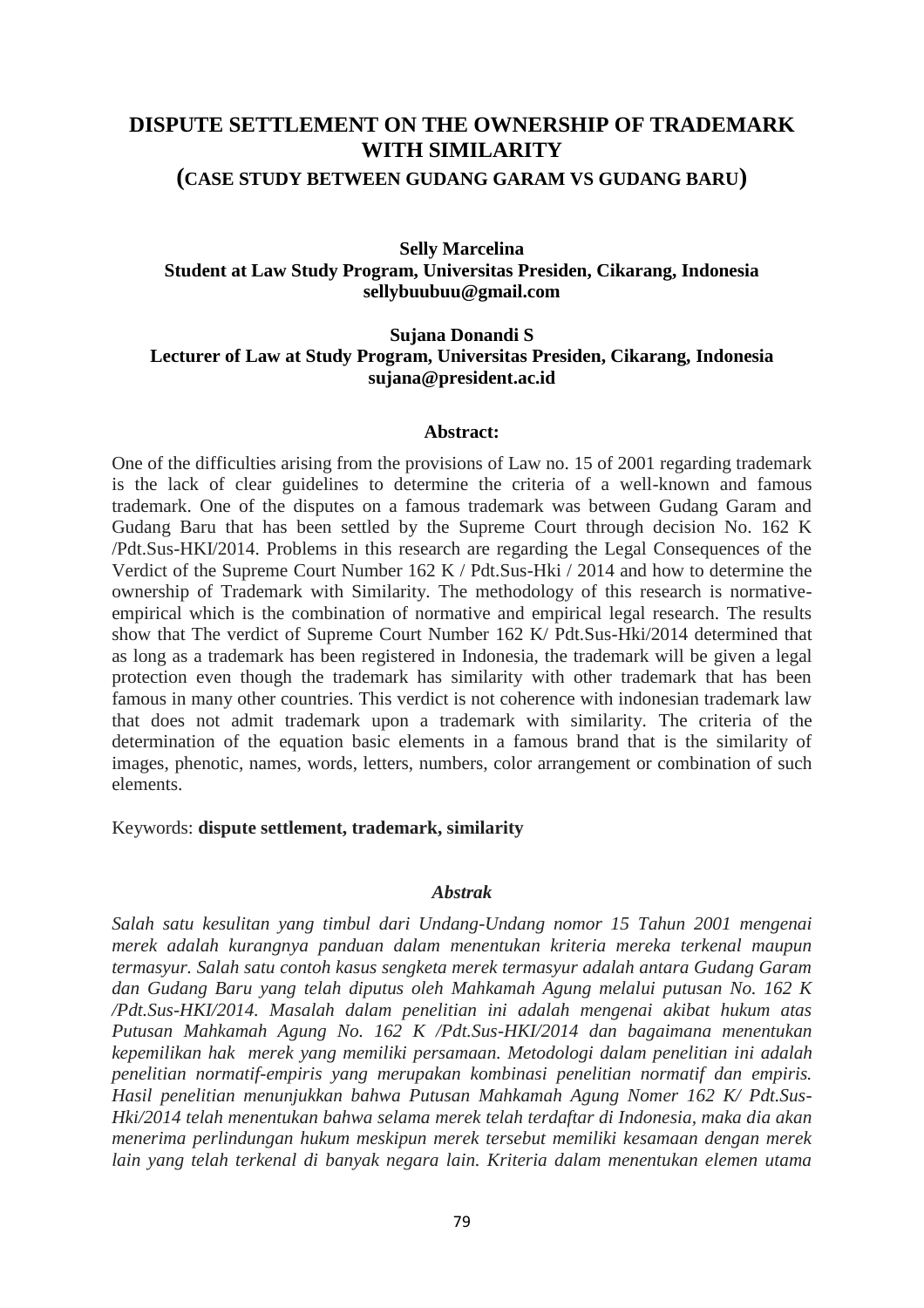# **DISPUTE SETTLEMENT ON THE OWNERSHIP OF TRADEMARK WITH SIMILARITY (CASE STUDY BETWEEN GUDANG GARAM VS GUDANG BARU)**

# **Selly Marcelina Student at Law Study Program, Universitas Presiden, Cikarang, Indonesia sellybuubuu@gmail.com**

## **Sujana Donandi S Lecturer of Law at Study Program, Universitas Presiden, Cikarang, Indonesia sujana@president.ac.id**

#### **Abstract:**

One of the difficulties arising from the provisions of Law no. 15 of 2001 regarding trademark is the lack of clear guidelines to determine the criteria of a well-known and famous trademark. One of the disputes on a famous trademark was between Gudang Garam and Gudang Baru that has been settled by the Supreme Court through decision No. 162 K /Pdt.Sus-HKI/2014. Problems in this research are regarding the Legal Consequences of the Verdict of the Supreme Court Number 162 K / Pdt.Sus-Hki / 2014 and how to determine the ownership of Trademark with Similarity. The methodology of this research is normativeempirical which is the combination of normative and empirical legal research. The results show that The verdict of Supreme Court Number 162 K/ Pdt.Sus-Hki/2014 determined that as long as a trademark has been registered in Indonesia, the trademark will be given a legal protection even though the trademark has similarity with other trademark that has been famous in many other countries. This verdict is not coherence with indonesian trademark law that does not admit trademark upon a trademark with similarity. The criteria of the determination of the equation basic elements in a famous brand that is the similarity of images, phenotic, names, words, letters, numbers, color arrangement or combination of such elements.

#### Keywords: **dispute settlement, trademark, similarity**

#### *Abstrak*

*Salah satu kesulitan yang timbul dari Undang-Undang nomor 15 Tahun 2001 mengenai merek adalah kurangnya panduan dalam menentukan kriteria mereka terkenal maupun termasyur. Salah satu contoh kasus sengketa merek termasyur adalah antara Gudang Garam dan Gudang Baru yang telah diputus oleh Mahkamah Agung melalui putusan No. 162 K /Pdt.Sus-HKI/2014. Masalah dalam penelitian ini adalah mengenai akibat hukum atas Putusan Mahkamah Agung No. 162 K /Pdt.Sus-HKI/2014 dan bagaimana menentukan kepemilikan hak merek yang memiliki persamaan. Metodologi dalam penelitian ini adalah penelitian normatif-empiris yang merupakan kombinasi penelitian normatif dan empiris. Hasil penelitian menunjukkan bahwa Putusan Mahkamah Agung Nomer 162 K/ Pdt.Sus-Hki/2014 telah menentukan bahwa selama merek telah terdaftar di Indonesia, maka dia akan menerima perlindungan hukum meskipun merek tersebut memiliki kesamaan dengan merek lain yang telah terkenal di banyak negara lain. Kriteria dalam menentukan elemen utama*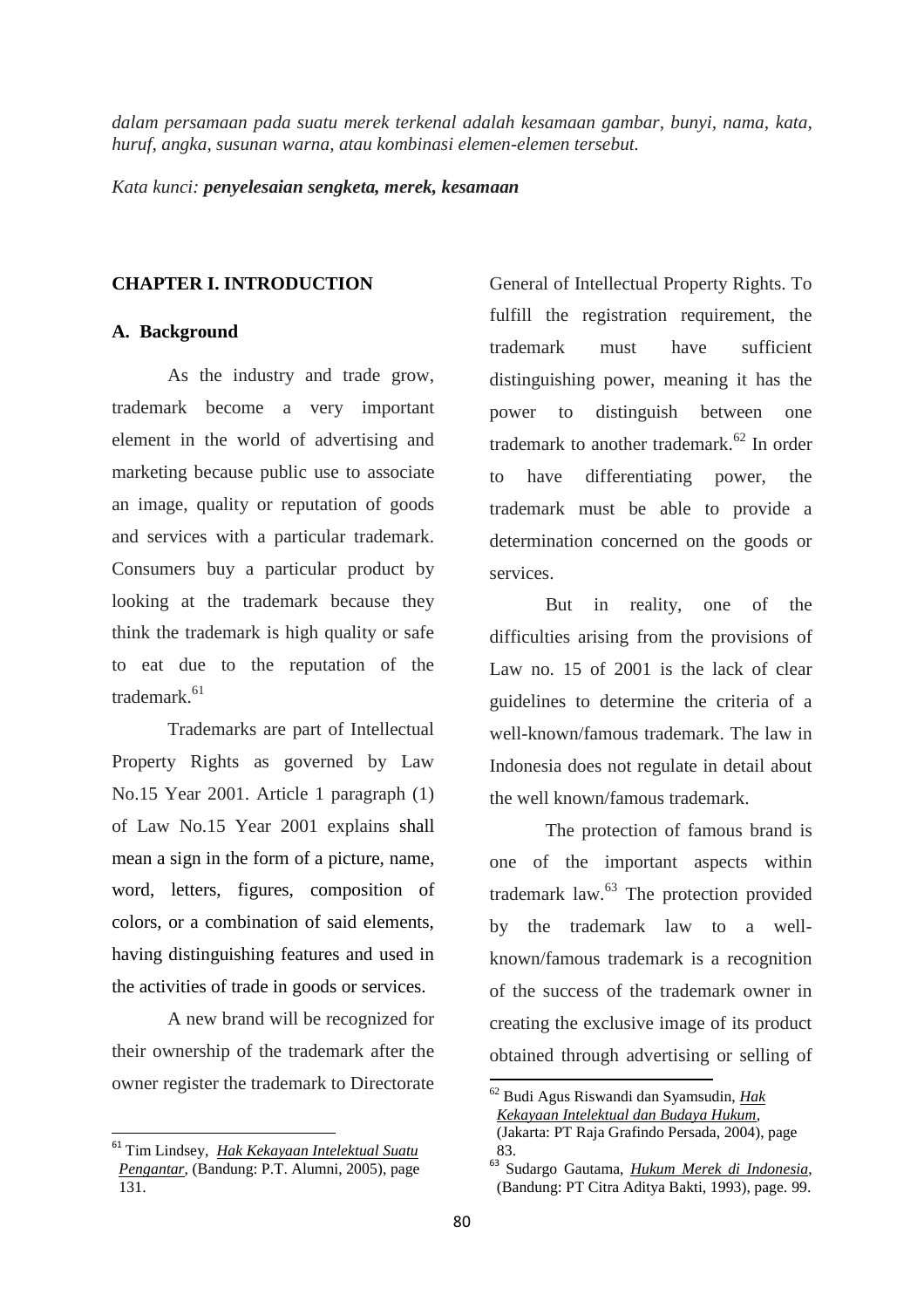*dalam persamaan pada suatu merek terkenal adalah kesamaan gambar, bunyi, nama, kata, huruf, angka, susunan warna, atau kombinasi elemen-elemen tersebut.*

*Kata kunci: penyelesaian sengketa, merek, kesamaan*

### **CHAPTER I. INTRODUCTION**

### **A. Background**

As the industry and trade grow, trademark become a very important element in the world of advertising and marketing because public use to associate an image, quality or reputation of goods and services with a particular trademark. Consumers buy a particular product by looking at the trademark because they think the trademark is high quality or safe to eat due to the reputation of the trademark.<sup>61</sup>

Trademarks are part of Intellectual Property Rights as governed by Law No.15 Year 2001. Article 1 paragraph (1) of Law No.15 Year 2001 explains shall mean a sign in the form of a picture, name, word, letters, figures, composition of colors, or a combination of said elements, having distinguishing features and used in the activities of trade in goods or services.

A new brand will be recognized for their ownership of the trademark after the owner register the trademark to Directorate

 $\overline{a}$ 

General of Intellectual Property Rights. To fulfill the registration requirement, the trademark must have sufficient distinguishing power, meaning it has the power to distinguish between one trademark to another trademark.<sup>62</sup> In order to have differentiating power, the trademark must be able to provide a determination concerned on the goods or services.

But in reality, one of the difficulties arising from the provisions of Law no. 15 of 2001 is the lack of clear guidelines to determine the criteria of a well-known/famous trademark. The law in Indonesia does not regulate in detail about the well known/famous trademark.

The protection of famous brand is one of the important aspects within trademark law.<sup>63</sup> The protection provided by the trademark law to a wellknown/famous trademark is a recognition of the success of the trademark owner in creating the exclusive image of its product obtained through advertising or selling of

 $\overline{\phantom{a}}$ 

<sup>61</sup> Tim Lindsey, *Hak Kekayaan Intelektual Suatu Pengantar*, (Bandung: P.T. Alumni, 2005), page 131.

<sup>62</sup> Budi Agus Riswandi dan Syamsudin, *Hak Kekayaan Intelektual dan Budaya Hukum*, (Jakarta: PT Raja Grafindo Persada, 2004), page 83.

<sup>63</sup> Sudargo Gautama, *Hukum Merek di Indonesia*, (Bandung: PT Citra Aditya Bakti, 1993), page. 99.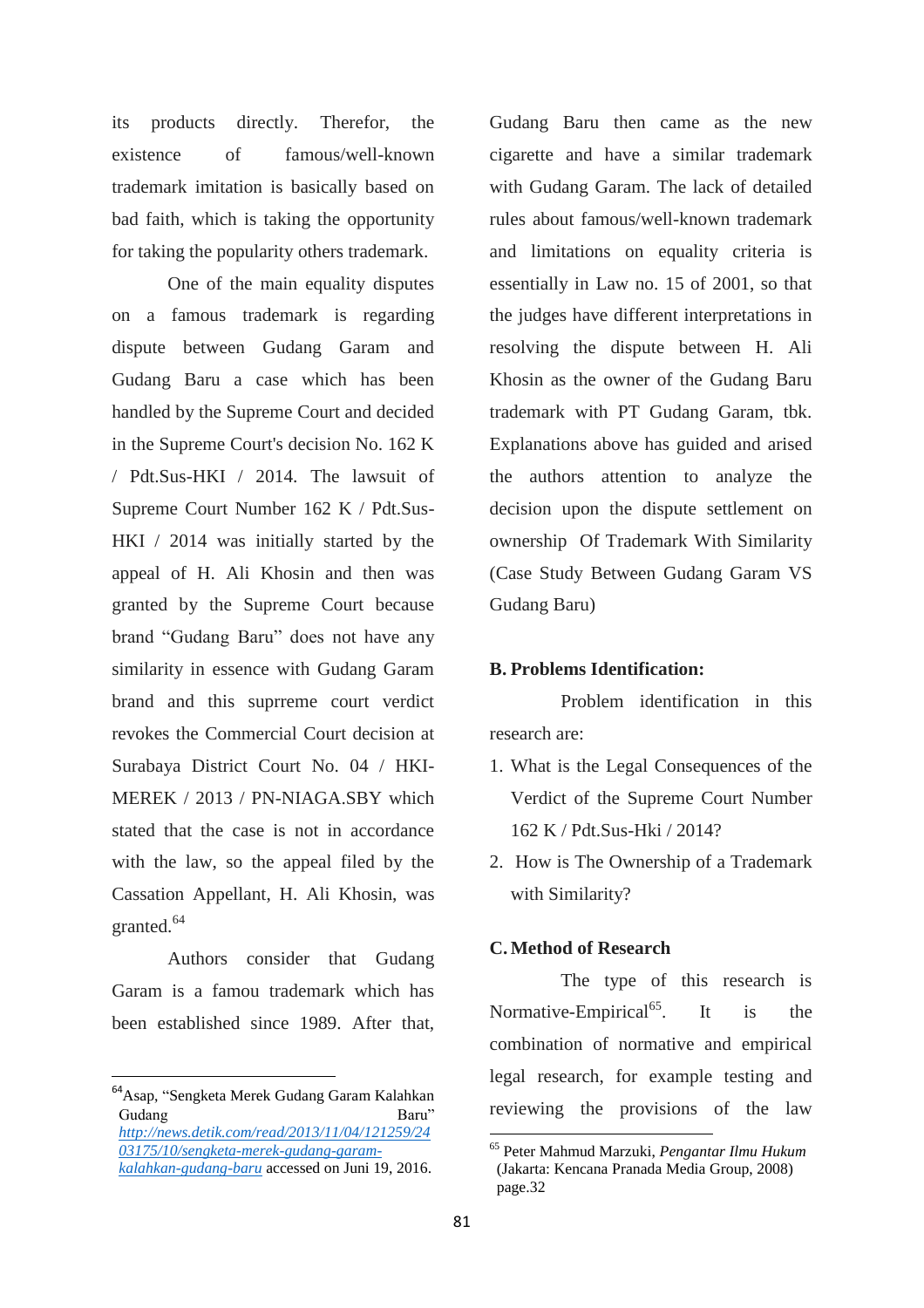its products directly. Therefor, the existence of famous/well-known trademark imitation is basically based on bad faith, which is taking the opportunity for taking the popularity others trademark.

One of the main equality disputes on a famous trademark is regarding dispute between Gudang Garam and Gudang Baru a case which has been handled by the Supreme Court and decided in the Supreme Court's decision No. 162 K / Pdt.Sus-HKI / 2014. The lawsuit of Supreme Court Number 162 K / Pdt.Sus-HKI / 2014 was initially started by the appeal of H. Ali Khosin and then was granted by the Supreme Court because brand "Gudang Baru" does not have any similarity in essence with Gudang Garam brand and this suprreme court verdict revokes the Commercial Court decision at Surabaya District Court No. 04 / HKI-MEREK / 2013 / PN-NIAGA.SBY which stated that the case is not in accordance with the law, so the appeal filed by the Cassation Appellant, H. Ali Khosin, was granted.<sup>64</sup>

Authors consider that Gudang Garam is a famou trademark which has been established since 1989. After that,

 $\overline{a}$ 

Gudang Baru then came as the new cigarette and have a similar trademark with Gudang Garam. The lack of detailed rules about famous/well-known trademark and limitations on equality criteria is essentially in Law no. 15 of 2001, so that the judges have different interpretations in resolving the dispute between H. Ali Khosin as the owner of the Gudang Baru trademark with PT Gudang Garam, tbk. Explanations above has guided and arised the authors attention to analyze the decision upon the dispute settlement on ownership Of Trademark With Similarity (Case Study Between Gudang Garam VS Gudang Baru)

### **B. Problems Identification:**

Problem identification in this research are:

- 1. What is the Legal Consequences of the Verdict of the Supreme Court Number 162 K / Pdt.Sus-Hki / 2014?
- 2. How is The Ownership of a Trademark with Similarity?

#### **C. Method of Research**

The type of this research is Normative-Empirical<sup>65</sup>. It is the combination of normative and empirical legal research, for example testing and reviewing the provisions of the law

<sup>64</sup>Asap, "Sengketa Merek Gudang Garam Kalahkan Gudang Baru" *[http://news.detik.com/read/2013/11/04/121259/24](http://news.detik.com/read/2013/11/04/121259/2403175/10/sengketa-merek-gudang-garam-kalahkan-gudang-baru) [03175/10/sengketa-merek-gudang-garam](http://news.detik.com/read/2013/11/04/121259/2403175/10/sengketa-merek-gudang-garam-kalahkan-gudang-baru)[kalahkan-gudang-baru](http://news.detik.com/read/2013/11/04/121259/2403175/10/sengketa-merek-gudang-garam-kalahkan-gudang-baru)* accessed on Juni 19, 2016.

<sup>65</sup> Peter Mahmud Marzuki, *Pengantar Ilmu Hukum* (Jakarta: Kencana Pranada Media Group, 2008) page.32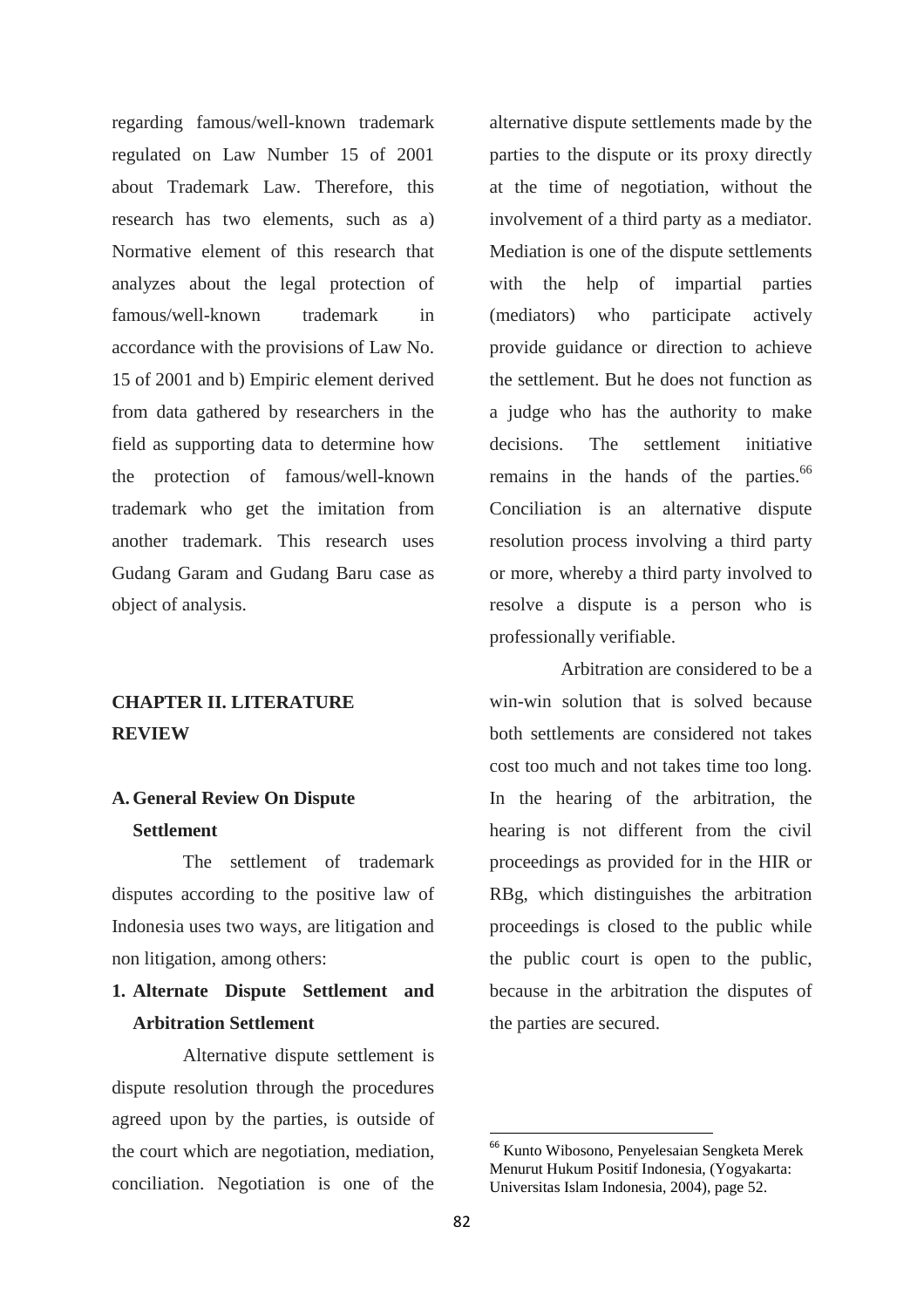regarding famous/well-known trademark regulated on Law Number 15 of 2001 about Trademark Law. Therefore, this research has two elements, such as a) Normative element of this research that analyzes about the legal protection of famous/well-known trademark in accordance with the provisions of Law No. 15 of 2001 and b) Empiric element derived from data gathered by researchers in the field as supporting data to determine how the protection of famous/well-known trademark who get the imitation from another trademark. This research uses Gudang Garam and Gudang Baru case as object of analysis.

# **CHAPTER II. LITERATURE REVIEW**

# **A. General Review On Dispute Settlement**

The settlement of trademark disputes according to the positive law of Indonesia uses two ways, are litigation and non litigation, among others:

# **1. Alternate Dispute Settlement and Arbitration Settlement**

Alternative dispute settlement is dispute resolution through the procedures agreed upon by the parties, is outside of the court which are negotiation, mediation, conciliation. Negotiation is one of the

alternative dispute settlements made by the parties to the dispute or its proxy directly at the time of negotiation, without the involvement of a third party as a mediator. Mediation is one of the dispute settlements with the help of impartial parties (mediators) who participate actively provide guidance or direction to achieve the settlement. But he does not function as a judge who has the authority to make decisions. The settlement initiative remains in the hands of the parties.<sup>66</sup> Conciliation is an alternative dispute resolution process involving a third party or more, whereby a third party involved to resolve a dispute is a person who is professionally verifiable.

Arbitration are considered to be a win-win solution that is solved because both settlements are considered not takes cost too much and not takes time too long. In the hearing of the arbitration, the hearing is not different from the civil proceedings as provided for in the HIR or RBg, which distinguishes the arbitration proceedings is closed to the public while the public court is open to the public, because in the arbitration the disputes of the parties are secured.

<sup>66</sup> Kunto Wibosono, Penyelesaian Sengketa Merek Menurut Hukum Positif Indonesia, (Yogyakarta: Universitas Islam Indonesia, 2004), page 52.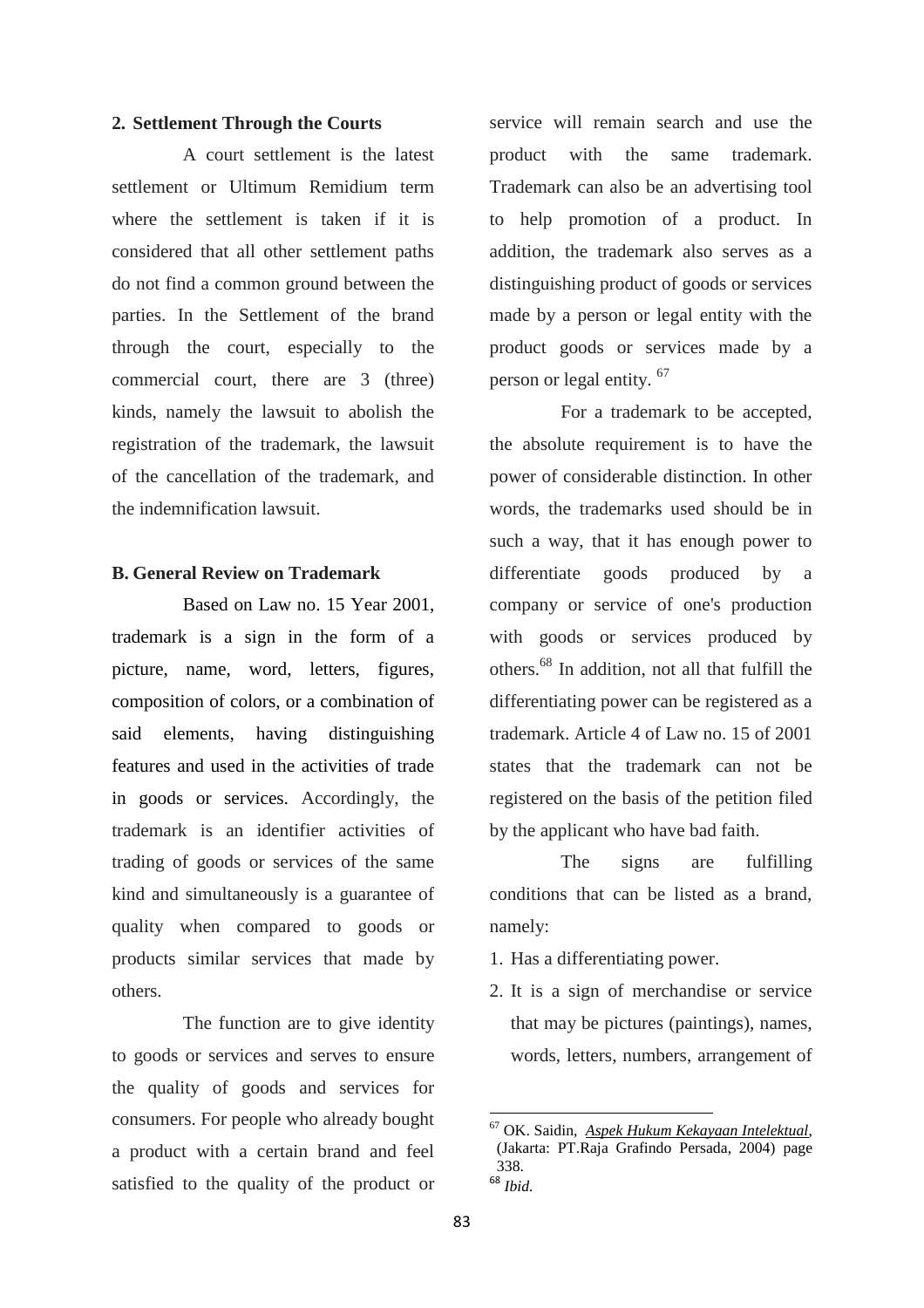### **2. Settlement Through the Courts**

A court settlement is the latest settlement or Ultimum Remidium term where the settlement is taken if it is considered that all other settlement paths do not find a common ground between the parties. In the Settlement of the brand through the court, especially to the commercial court, there are 3 (three) kinds, namely the lawsuit to abolish the registration of the trademark, the lawsuit of the cancellation of the trademark, and the indemnification lawsuit.

### **B. General Review on Trademark**

Based on Law no. 15 Year 2001, trademark is a sign in the form of a picture, name, word, letters, figures, composition of colors, or a combination of said elements, having distinguishing features and used in the activities of trade in goods or services. Accordingly, the trademark is an identifier activities of trading of goods or services of the same kind and simultaneously is a guarantee of quality when compared to goods or products similar services that made by others.

The function are to give identity to goods or services and serves to ensure the quality of goods and services for consumers. For people who already bought a product with a certain brand and feel satisfied to the quality of the product or

service will remain search and use the product with the same trademark. Trademark can also be an advertising tool to help promotion of a product. In addition, the trademark also serves as a distinguishing product of goods or services made by a person or legal entity with the product goods or services made by a person or legal entity. <sup>67</sup>

For a trademark to be accepted, the absolute requirement is to have the power of considerable distinction. In other words, the trademarks used should be in such a way, that it has enough power to differentiate goods produced by a company or service of one's production with goods or services produced by others.<sup>68</sup> In addition, not all that fulfill the differentiating power can be registered as a trademark. Article 4 of Law no. 15 of 2001 states that the trademark can not be registered on the basis of the petition filed by the applicant who have bad faith.

The signs are fulfilling conditions that can be listed as a brand, namely:

- 1. Has a differentiating power.
- 2. It is a sign of merchandise or service that may be pictures (paintings), names, words, letters, numbers, arrangement of

<sup>67</sup> OK. Saidin, *Aspek Hukum Kekayaan Intelektual*, (Jakarta: PT.Raja Grafindo Persada, 2004) page 338. <sup>68</sup> *Ibid.*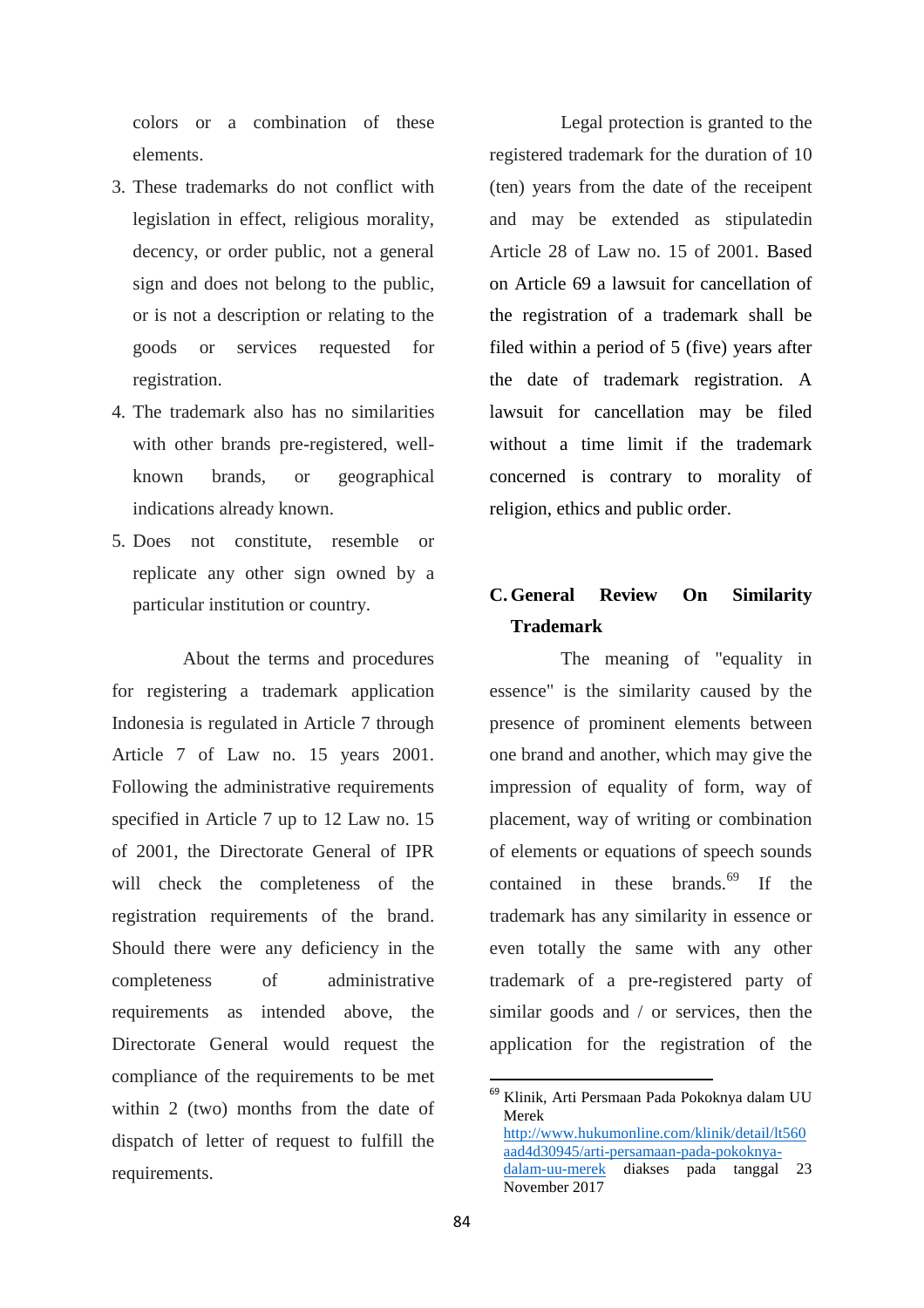colors or a combination of these elements.

- 3. These trademarks do not conflict with legislation in effect, religious morality, decency, or order public, not a general sign and does not belong to the public, or is not a description or relating to the goods or services requested for registration.
- 4. The trademark also has no similarities with other brands pre-registered, wellknown brands, or geographical indications already known.
- 5. Does not constitute, resemble or replicate any other sign owned by a particular institution or country.

About the terms and procedures for registering a trademark application Indonesia is regulated in Article 7 through Article 7 of Law no. 15 years 2001. Following the administrative requirements specified in Article 7 up to 12 Law no. 15 of 2001, the Directorate General of IPR will check the completeness of the registration requirements of the brand. Should there were any deficiency in the completeness of administrative requirements as intended above, the Directorate General would request the compliance of the requirements to be met within 2 (two) months from the date of dispatch of letter of request to fulfill the requirements.

Legal protection is granted to the registered trademark for the duration of 10 (ten) years from the date of the receipent and may be extended as stipulatedin Article 28 of Law no. 15 of 2001. Based on Article 69 a lawsuit for cancellation of the registration of a trademark shall be filed within a period of 5 (five) years after the date of trademark registration. A lawsuit for cancellation may be filed without a time limit if the trademark concerned is contrary to morality of religion, ethics and public order.

# **C. General Review On Similarity Trademark**

The meaning of "equality in essence" is the similarity caused by the presence of prominent elements between one brand and another, which may give the impression of equality of form, way of placement, way of writing or combination of elements or equations of speech sounds contained in these brands.<sup>69</sup> If the trademark has any similarity in essence or even totally the same with any other trademark of a pre-registered party of similar goods and / or services, then the application for the registration of the

 $\overline{\phantom{a}}$ 

<sup>&</sup>lt;sup>69</sup> Klinik, Arti Persmaan Pada Pokoknya dalam UU Merek [http://www.hukumonline.com/klinik/detail/lt560](http://www.hukumonline.com/klinik/detail/lt560aad4d30945/arti-persamaan-pada-pokoknya-dalam-uu-merek) [aad4d30945/arti-persamaan-pada-pokoknya](http://www.hukumonline.com/klinik/detail/lt560aad4d30945/arti-persamaan-pada-pokoknya-dalam-uu-merek)[dalam-uu-merek](http://www.hukumonline.com/klinik/detail/lt560aad4d30945/arti-persamaan-pada-pokoknya-dalam-uu-merek) diakses pada tanggal 23 November 2017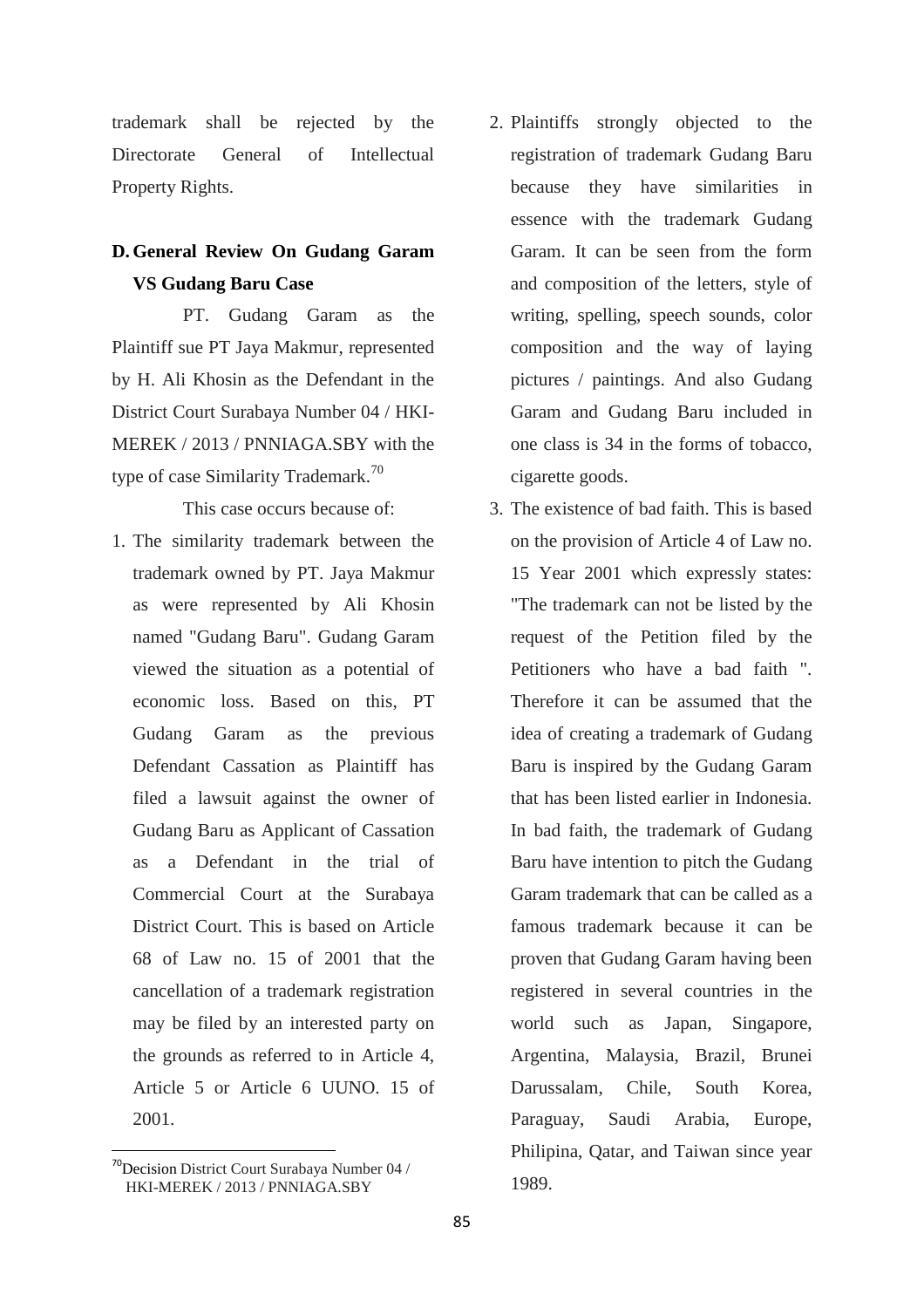trademark shall be rejected by the Directorate General of Intellectual Property Rights.

# **D. General Review On Gudang Garam VS Gudang Baru Case**

PT. Gudang Garam as the Plaintiff sue PT Jaya Makmur, represented by H. Ali Khosin as the Defendant in the District Court Surabaya Number 04 / HKI-MEREK / 2013 / PNNIAGA.SBY with the type of case Similarity Trademark.<sup>70</sup>

This case occurs because of:

1. The similarity trademark between the trademark owned by PT. Jaya Makmur as were represented by Ali Khosin named "Gudang Baru". Gudang Garam viewed the situation as a potential of economic loss. Based on this, PT Gudang Garam as the previous Defendant Cassation as Plaintiff has filed a lawsuit against the owner of Gudang Baru as Applicant of Cassation as a Defendant in the trial of Commercial Court at the Surabaya District Court. This is based on Article 68 of Law no. 15 of 2001 that the cancellation of a trademark registration may be filed by an interested party on the grounds as referred to in Article 4, Article 5 or Article 6 UUNO. 15 of 2001.

- 2. Plaintiffs strongly objected to the registration of trademark Gudang Baru because they have similarities in essence with the trademark Gudang Garam. It can be seen from the form and composition of the letters, style of writing, spelling, speech sounds, color composition and the way of laying pictures / paintings. And also Gudang Garam and Gudang Baru included in one class is 34 in the forms of tobacco, cigarette goods.
- 3. The existence of bad faith. This is based on the provision of Article 4 of Law no. 15 Year 2001 which expressly states: "The trademark can not be listed by the request of the Petition filed by the Petitioners who have a bad faith ". Therefore it can be assumed that the idea of creating a trademark of Gudang Baru is inspired by the Gudang Garam that has been listed earlier in Indonesia. In bad faith, the trademark of Gudang Baru have intention to pitch the Gudang Garam trademark that can be called as a famous trademark because it can be proven that Gudang Garam having been registered in several countries in the world such as Japan, Singapore, Argentina, Malaysia, Brazil, Brunei Darussalam, Chile, South Korea, Paraguay, Saudi Arabia, Europe, Philipina, Qatar, and Taiwan since year 1989.

<sup>70</sup>Decision District Court Surabaya Number 04 / HKI-MEREK / 2013 / PNNIAGA.SBY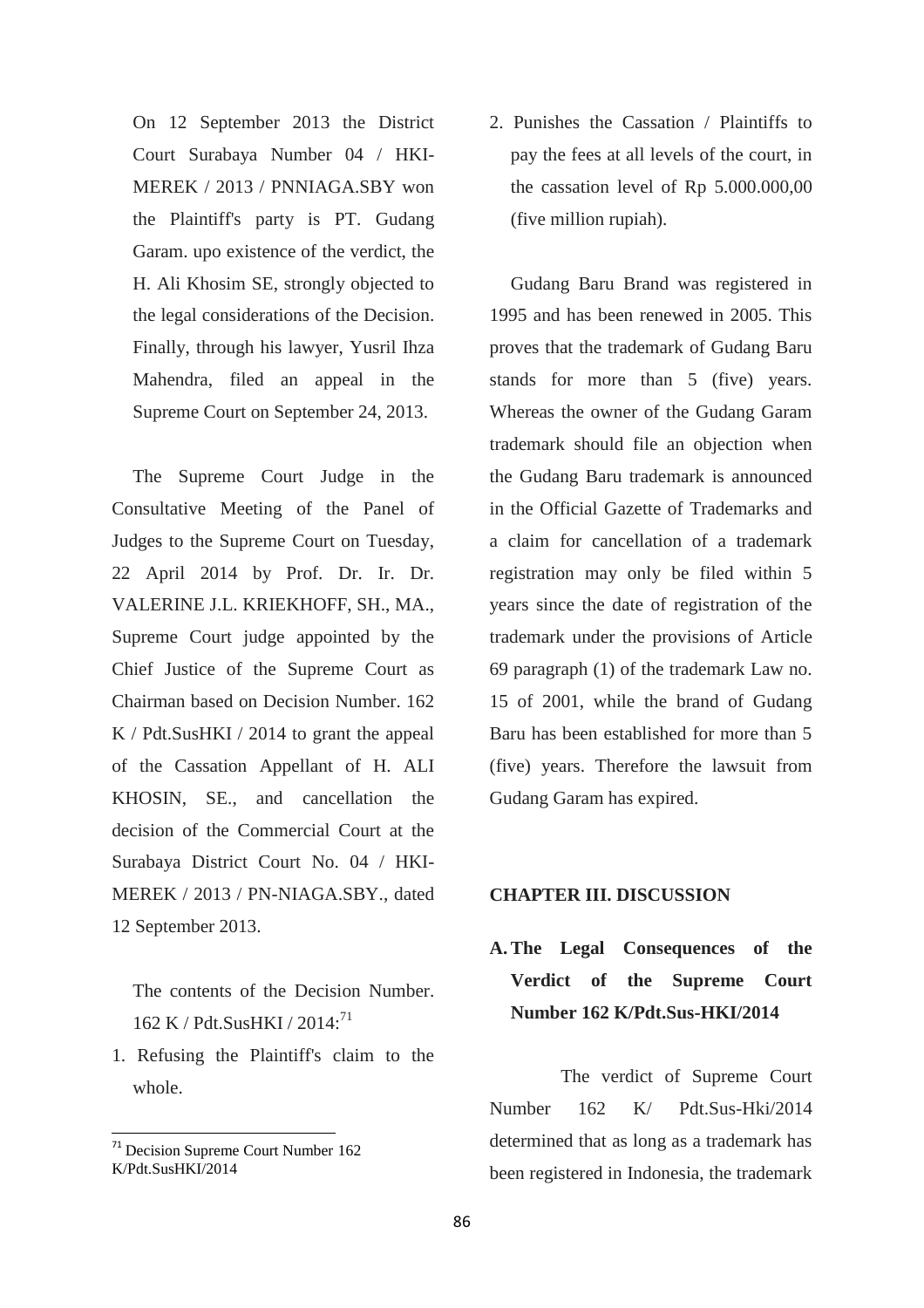On 12 September 2013 the District Court Surabaya Number 04 / HKI-MEREK / 2013 / PNNIAGA.SBY won the Plaintiff's party is PT. Gudang Garam. upo existence of the verdict, the H. Ali Khosim SE, strongly objected to the legal considerations of the Decision. Finally, through his lawyer, Yusril Ihza Mahendra, filed an appeal in the Supreme Court on September 24, 2013.

The Supreme Court Judge in the Consultative Meeting of the Panel of Judges to the Supreme Court on Tuesday, 22 April 2014 by Prof. Dr. Ir. Dr. VALERINE J.L. KRIEKHOFF, SH., MA., Supreme Court judge appointed by the Chief Justice of the Supreme Court as Chairman based on Decision Number. 162 K / Pdt.SusHKI / 2014 to grant the appeal of the Cassation Appellant of H. ALI KHOSIN, SE., and cancellation the decision of the Commercial Court at the Surabaya District Court No. 04 / HKI-MEREK / 2013 / PN-NIAGA.SBY., dated 12 September 2013.

The contents of the Decision Number. 162 K / Pdt.SusHKI / 2014:<sup>71</sup>

1. Refusing the Plaintiff's claim to the whole.

 $\overline{a}$ 

2. Punishes the Cassation / Plaintiffs to pay the fees at all levels of the court, in the cassation level of Rp 5.000.000,00 (five million rupiah).

Gudang Baru Brand was registered in 1995 and has been renewed in 2005. This proves that the trademark of Gudang Baru stands for more than 5 (five) years. Whereas the owner of the Gudang Garam trademark should file an objection when the Gudang Baru trademark is announced in the Official Gazette of Trademarks and a claim for cancellation of a trademark registration may only be filed within 5 years since the date of registration of the trademark under the provisions of Article 69 paragraph (1) of the trademark Law no. 15 of 2001, while the brand of Gudang Baru has been established for more than 5 (five) years. Therefore the lawsuit from Gudang Garam has expired.

## **CHAPTER III. DISCUSSION**

**A.The Legal Consequences of the Verdict of the Supreme Court Number 162 K/Pdt.Sus-HKI/2014**

The verdict of Supreme Court Number 162 K/ Pdt.Sus-Hki/2014 determined that as long as a trademark has been registered in Indonesia, the trademark

<sup>&</sup>lt;sup>71</sup> Decision Supreme Court Number 162 K/Pdt.SusHKI/2014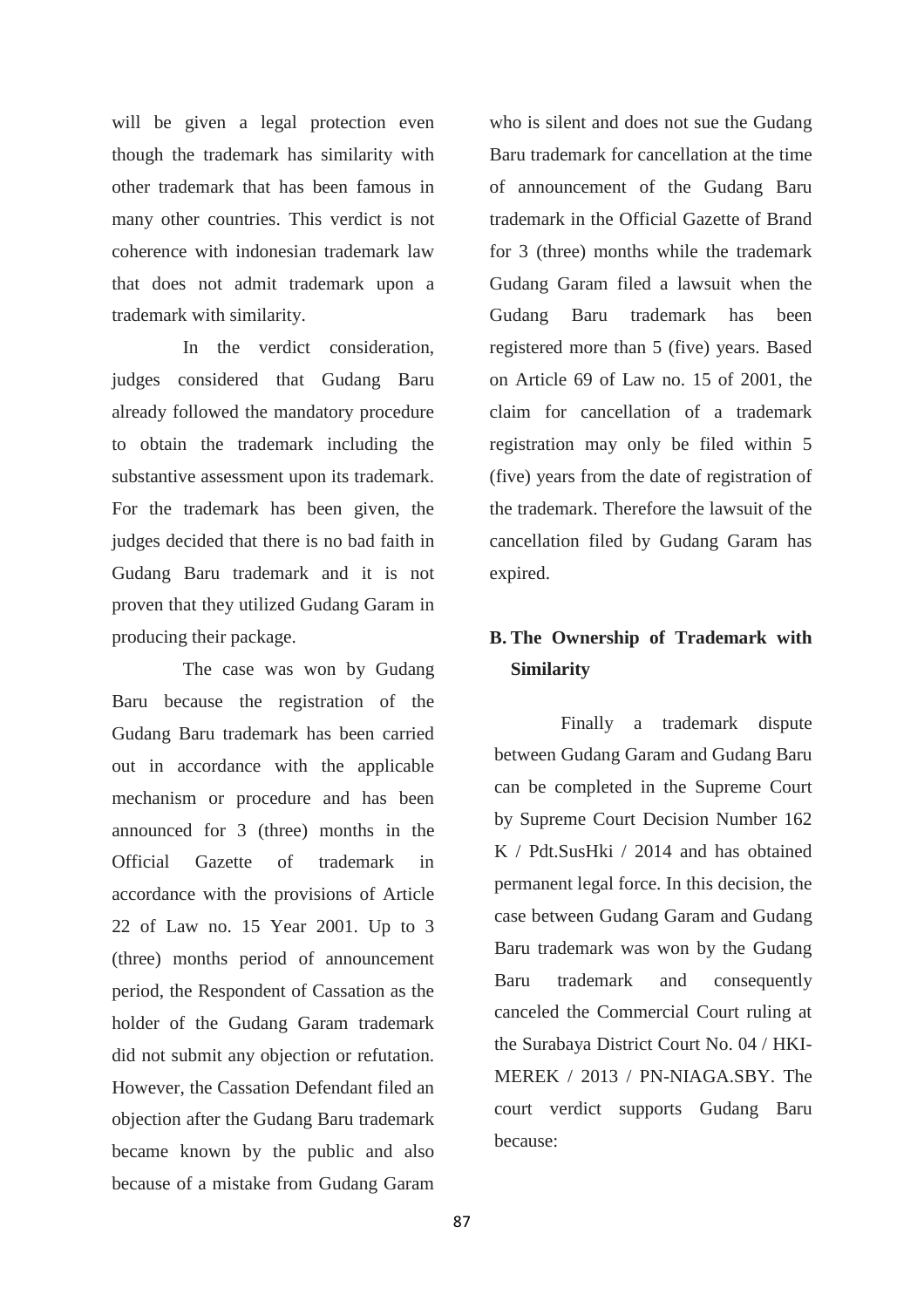will be given a legal protection even though the trademark has similarity with other trademark that has been famous in many other countries. This verdict is not coherence with indonesian trademark law that does not admit trademark upon a trademark with similarity.

In the verdict consideration, judges considered that Gudang Baru already followed the mandatory procedure to obtain the trademark including the substantive assessment upon its trademark. For the trademark has been given, the judges decided that there is no bad faith in Gudang Baru trademark and it is not proven that they utilized Gudang Garam in producing their package.

The case was won by Gudang Baru because the registration of the Gudang Baru trademark has been carried out in accordance with the applicable mechanism or procedure and has been announced for 3 (three) months in the Official Gazette of trademark in accordance with the provisions of Article 22 of Law no. 15 Year 2001. Up to 3 (three) months period of announcement period, the Respondent of Cassation as the holder of the Gudang Garam trademark did not submit any objection or refutation. However, the Cassation Defendant filed an objection after the Gudang Baru trademark became known by the public and also because of a mistake from Gudang Garam

who is silent and does not sue the Gudang Baru trademark for cancellation at the time of announcement of the Gudang Baru trademark in the Official Gazette of Brand for 3 (three) months while the trademark Gudang Garam filed a lawsuit when the Gudang Baru trademark has been registered more than 5 (five) years. Based on Article 69 of Law no. 15 of 2001, the claim for cancellation of a trademark registration may only be filed within 5 (five) years from the date of registration of the trademark. Therefore the lawsuit of the cancellation filed by Gudang Garam has expired.

# **B. The Ownership of Trademark with Similarity**

Finally a trademark dispute between Gudang Garam and Gudang Baru can be completed in the Supreme Court by Supreme Court Decision Number 162 K / Pdt.SusHki / 2014 and has obtained permanent legal force. In this decision, the case between Gudang Garam and Gudang Baru trademark was won by the Gudang Baru trademark and consequently canceled the Commercial Court ruling at the Surabaya District Court No. 04 / HKI-MEREK / 2013 / PN-NIAGA.SBY. The court verdict supports Gudang Baru because: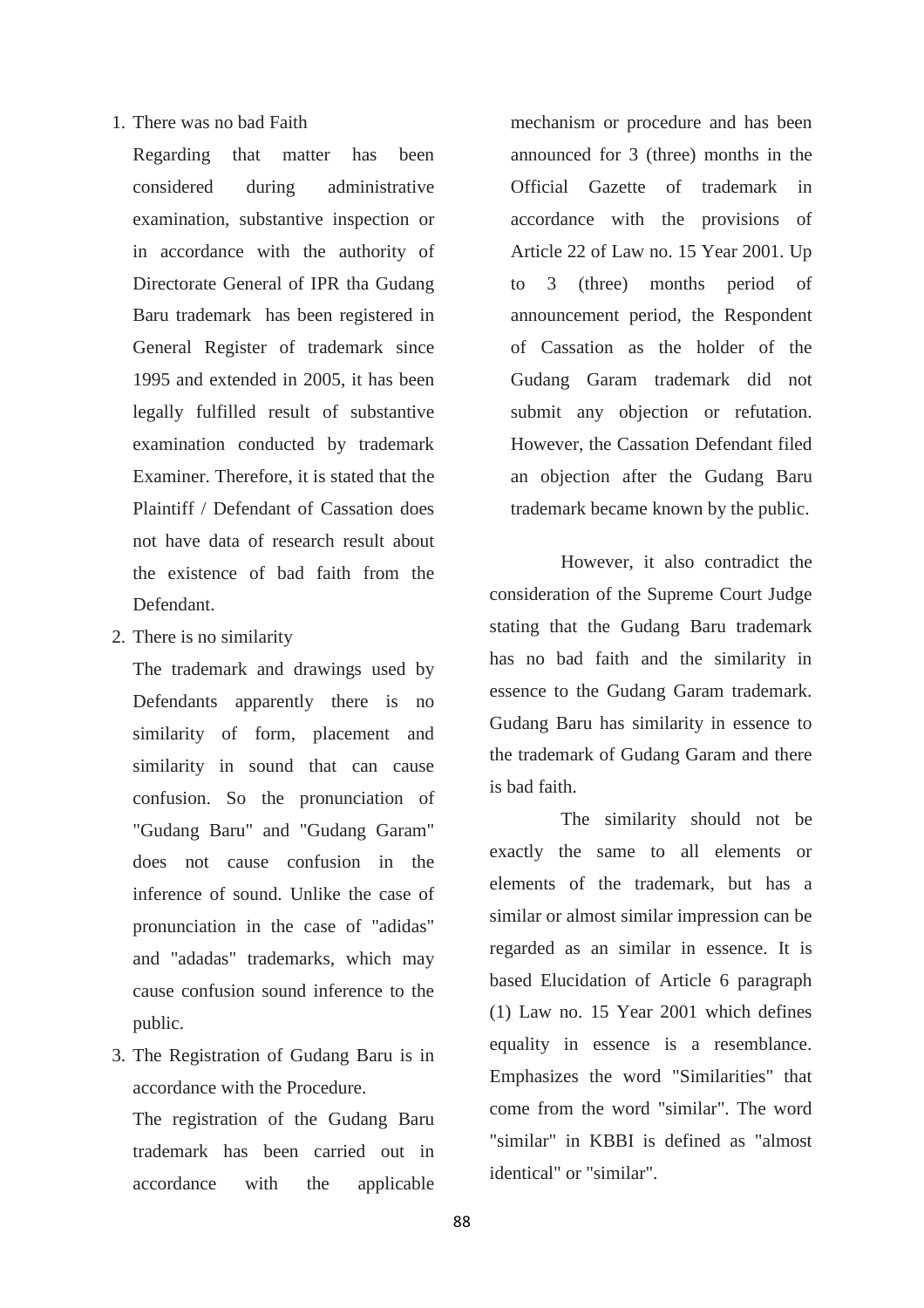1. There was no bad Faith

Regarding that matter has been considered during administrative examination, substantive inspection or in accordance with the authority of Directorate General of IPR tha Gudang Baru trademark has been registered in General Register of trademark since 1995 and extended in 2005, it has been legally fulfilled result of substantive examination conducted by trademark Examiner. Therefore, it is stated that the Plaintiff / Defendant of Cassation does not have data of research result about the existence of bad faith from the Defendant.

2. There is no similarity

The trademark and drawings used by Defendants apparently there is no similarity of form, placement and similarity in sound that can cause confusion. So the pronunciation of "Gudang Baru" and "Gudang Garam" does not cause confusion in the inference of sound. Unlike the case of pronunciation in the case of "adidas" and "adadas" trademarks, which may cause confusion sound inference to the public.

3. The Registration of Gudang Baru is in accordance with the Procedure.

The registration of the Gudang Baru trademark has been carried out in accordance with the applicable

mechanism or procedure and has been announced for 3 (three) months in the Official Gazette of trademark in accordance with the provisions of Article 22 of Law no. 15 Year 2001. Up to 3 (three) months period of announcement period, the Respondent of Cassation as the holder of the Gudang Garam trademark did not submit any objection or refutation. However, the Cassation Defendant filed an objection after the Gudang Baru trademark became known by the public.

However, it also contradict the consideration of the Supreme Court Judge stating that the Gudang Baru trademark has no bad faith and the similarity in essence to the Gudang Garam trademark. Gudang Baru has similarity in essence to the trademark of Gudang Garam and there is bad faith.

The similarity should not be exactly the same to all elements or elements of the trademark, but has a similar or almost similar impression can be regarded as an similar in essence. It is based Elucidation of Article 6 paragraph (1) Law no. 15 Year 2001 which defines equality in essence is a resemblance. Emphasizes the word "Similarities" that come from the word "similar". The word "similar" in KBBI is defined as "almost identical" or "similar".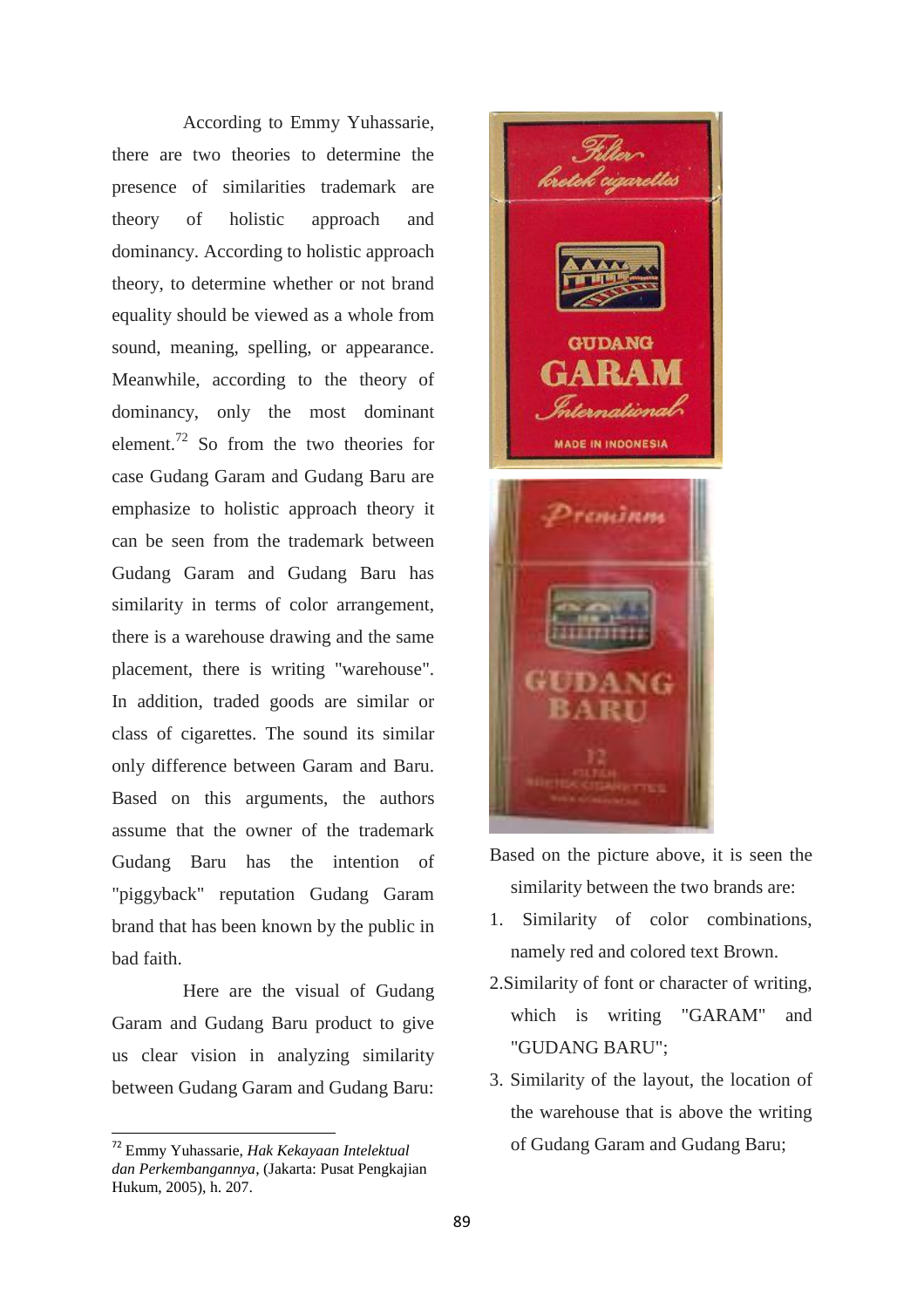According to Emmy Yuhassarie, there are two theories to determine the presence of similarities trademark are theory of holistic approach and dominancy. According to holistic approach theory, to determine whether or not brand equality should be viewed as a whole from sound, meaning, spelling, or appearance. Meanwhile, according to the theory of dominancy, only the most dominant element.<sup>72</sup> So from the two theories for case Gudang Garam and Gudang Baru are emphasize to holistic approach theory it can be seen from the trademark between Gudang Garam and Gudang Baru has similarity in terms of color arrangement, there is a warehouse drawing and the same placement, there is writing "warehouse". In addition, traded goods are similar or class of cigarettes. The sound its similar only difference between Garam and Baru. Based on this arguments, the authors assume that the owner of the trademark Gudang Baru has the intention of "piggyback" reputation Gudang Garam brand that has been known by the public in bad faith.

Here are the visual of Gudang Garam and Gudang Baru product to give us clear vision in analyzing similarity between Gudang Garam and Gudang Baru:

 $\overline{a}$ 





Based on the picture above, it is seen the similarity between the two brands are:

- 1. Similarity of color combinations, namely red and colored text Brown.
- 2.Similarity of font or character of writing, which is writing "GARAM" and "GUDANG BARU";
- 3. Similarity of the layout, the location of the warehouse that is above the writing of Gudang Garam and Gudang Baru;

<sup>72</sup> Emmy Yuhassarie, *Hak Kekayaan Intelektual dan Perkembangannya*, (Jakarta: Pusat Pengkajian Hukum, 2005), h. 207.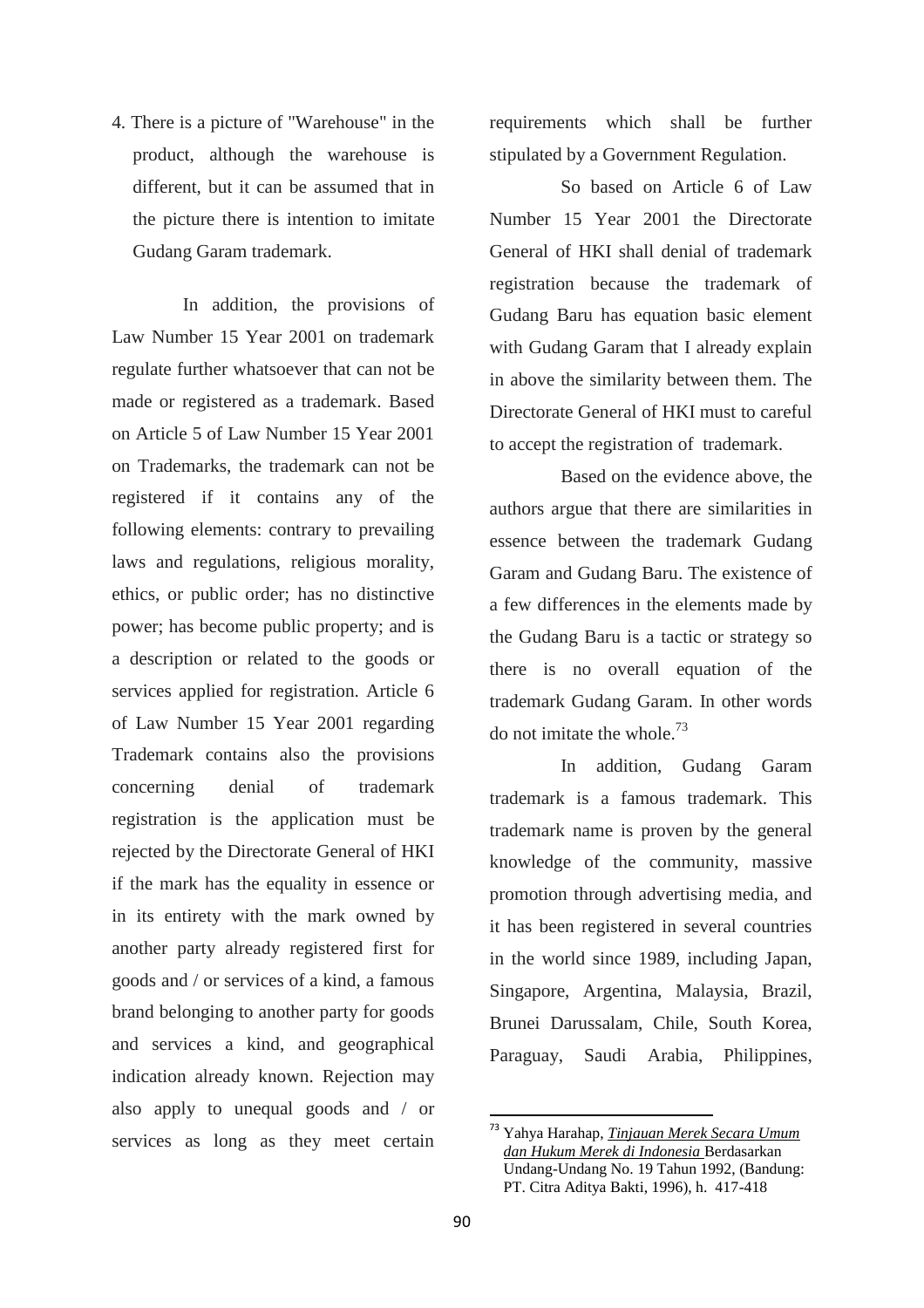4. There is a picture of "Warehouse" in the product, although the warehouse is different, but it can be assumed that in the picture there is intention to imitate Gudang Garam trademark.

In addition, the provisions of Law Number 15 Year 2001 on trademark regulate further whatsoever that can not be made or registered as a trademark. Based on Article 5 of Law Number 15 Year 2001 on Trademarks, the trademark can not be registered if it contains any of the following elements: contrary to prevailing laws and regulations, religious morality, ethics, or public order; has no distinctive power; has become public property; and is a description or related to the goods or services applied for registration. Article 6 of Law Number 15 Year 2001 regarding Trademark contains also the provisions concerning denial of trademark registration is the application must be rejected by the Directorate General of HKI if the mark has the equality in essence or in its entirety with the mark owned by another party already registered first for goods and / or services of a kind, a famous brand belonging to another party for goods and services a kind, and geographical indication already known. Rejection may also apply to unequal goods and / or services as long as they meet certain requirements which shall be further stipulated by a Government Regulation.

So based on Article 6 of Law Number 15 Year 2001 the Directorate General of HKI shall denial of trademark registration because the trademark of Gudang Baru has equation basic element with Gudang Garam that I already explain in above the similarity between them. The Directorate General of HKI must to careful to accept the registration of trademark.

Based on the evidence above, the authors argue that there are similarities in essence between the trademark Gudang Garam and Gudang Baru. The existence of a few differences in the elements made by the Gudang Baru is a tactic or strategy so there is no overall equation of the trademark Gudang Garam. In other words do not imitate the whole. 73

In addition, Gudang Garam trademark is a famous trademark. This trademark name is proven by the general knowledge of the community, massive promotion through advertising media, and it has been registered in several countries in the world since 1989, including Japan, Singapore, Argentina, Malaysia, Brazil, Brunei Darussalam, Chile, South Korea, Paraguay, Saudi Arabia, Philippines,

<sup>73</sup> Yahya Harahap, *Tinjauan Merek Secara Umum dan Hukum Merek di Indonesia* Berdasarkan Undang-Undang No. 19 Tahun 1992, (Bandung: PT. Citra Aditya Bakti, 1996), h. 417-418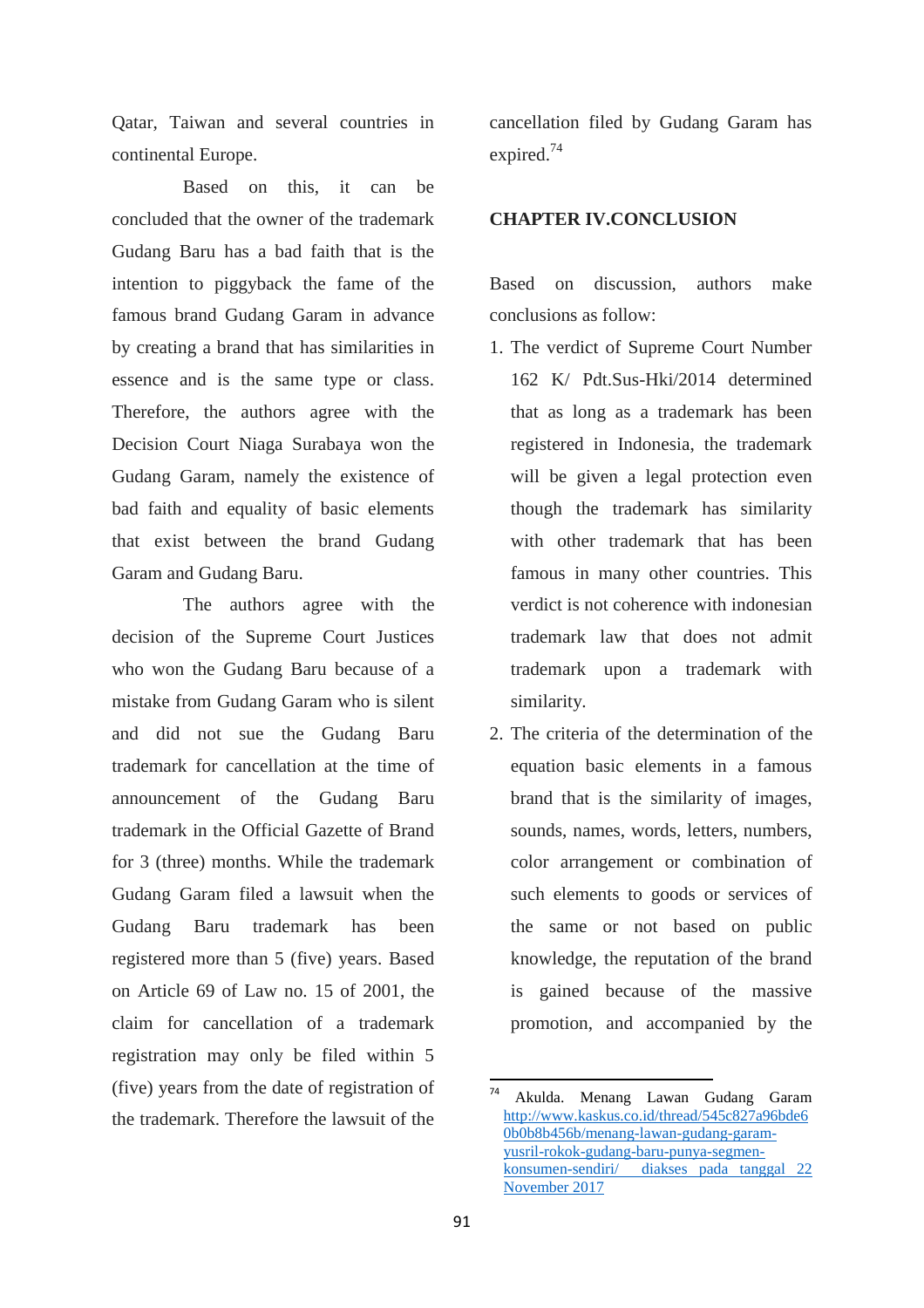Qatar, Taiwan and several countries in continental Europe.

Based on this, it can be concluded that the owner of the trademark Gudang Baru has a bad faith that is the intention to piggyback the fame of the famous brand Gudang Garam in advance by creating a brand that has similarities in essence and is the same type or class. Therefore, the authors agree with the Decision Court Niaga Surabaya won the Gudang Garam, namely the existence of bad faith and equality of basic elements that exist between the brand Gudang Garam and Gudang Baru.

The authors agree with the decision of the Supreme Court Justices who won the Gudang Baru because of a mistake from Gudang Garam who is silent and did not sue the Gudang Baru trademark for cancellation at the time of announcement of the Gudang Baru trademark in the Official Gazette of Brand for 3 (three) months. While the trademark Gudang Garam filed a lawsuit when the Gudang Baru trademark has been registered more than 5 (five) years. Based on Article 69 of Law no. 15 of 2001, the claim for cancellation of a trademark registration may only be filed within 5 (five) years from the date of registration of the trademark. Therefore the lawsuit of the

cancellation filed by Gudang Garam has expired.<sup>74</sup>

#### **CHAPTER IV.CONCLUSION**

Based on discussion, authors make conclusions as follow:

- 1. The verdict of Supreme Court Number 162 K/ Pdt.Sus-Hki/2014 determined that as long as a trademark has been registered in Indonesia, the trademark will be given a legal protection even though the trademark has similarity with other trademark that has been famous in many other countries. This verdict is not coherence with indonesian trademark law that does not admit trademark upon a trademark with similarity.
- 2. The criteria of the determination of the equation basic elements in a famous brand that is the similarity of images, sounds, names, words, letters, numbers, color arrangement or combination of such elements to goods or services of the same or not based on public knowledge, the reputation of the brand is gained because of the massive promotion, and accompanied by the

<sup>74</sup> <sup>74</sup> Akulda. Menang Lawan Gudang Garam [http://www.kaskus.co.id/thread/545c827a96bde6](http://www.kaskus.co.id/thread/545c827a96bde60b0b8b456b/menang-lawan-gudang-garam-yusril-rokok-gudang-baru-punya-segmen-konsumen-sendiri/) [0b0b8b456b/menang-lawan-gudang-garam](http://www.kaskus.co.id/thread/545c827a96bde60b0b8b456b/menang-lawan-gudang-garam-yusril-rokok-gudang-baru-punya-segmen-konsumen-sendiri/)[yusril-rokok-gudang-baru-punya-segmen](http://www.kaskus.co.id/thread/545c827a96bde60b0b8b456b/menang-lawan-gudang-garam-yusril-rokok-gudang-baru-punya-segmen-konsumen-sendiri/)[konsumen-sendiri/](http://www.kaskus.co.id/thread/545c827a96bde60b0b8b456b/menang-lawan-gudang-garam-yusril-rokok-gudang-baru-punya-segmen-konsumen-sendiri/) diakses pada tanggal 22 November 2017